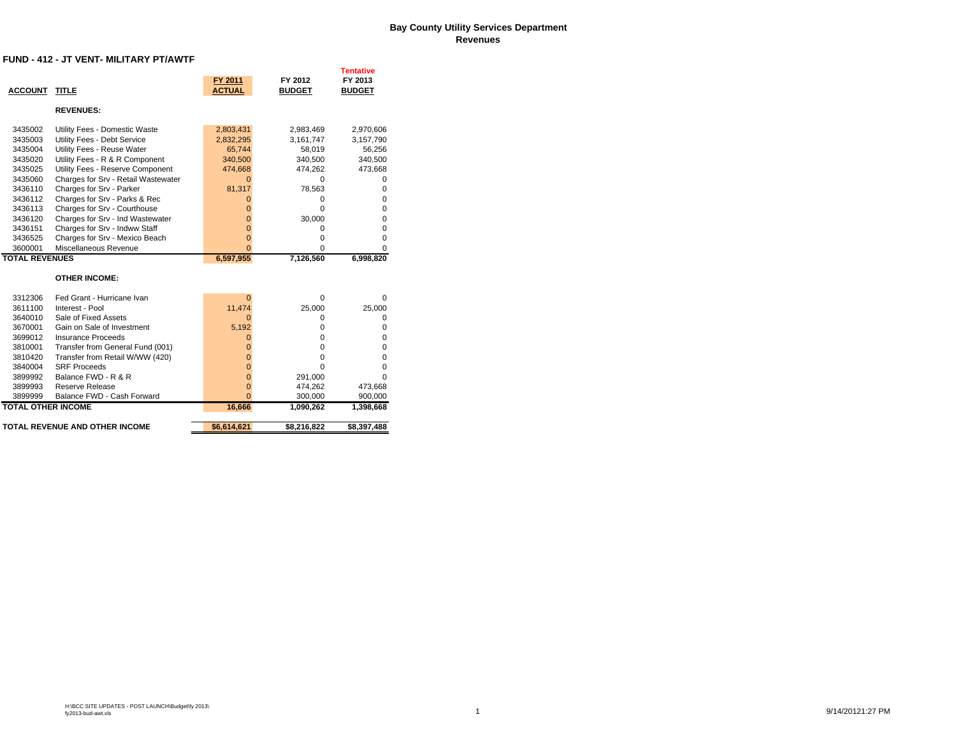#### **Bay County Utility Services Department Revenues**

#### **FUND - 412 - JT VENT- MILITARY PT/AWTF**

| <b>ACCOUNT</b>            | <b>TITLE</b>                        | FY 2011<br><b>ACTUAL</b> | FY 2012<br><b>BUDGET</b> | Tentative<br>FY 2013<br><b>BUDGET</b> |
|---------------------------|-------------------------------------|--------------------------|--------------------------|---------------------------------------|
|                           | <b>REVENUES:</b>                    |                          |                          |                                       |
| 3435002                   | Utility Fees - Domestic Waste       | 2,803,431                | 2,983,469                | 2,970,606                             |
| 3435003                   | Utility Fees - Debt Service         | 2,832,295                | 3,161,747                | 3,157,790                             |
| 3435004                   | Utility Fees - Reuse Water          | 65,744                   | 58,019                   | 56,256                                |
| 3435020                   | Utility Fees - R & R Component      | 340,500                  | 340,500                  | 340,500                               |
| 3435025                   | Utility Fees - Reserve Component    | 474,668                  | 474,262                  | 473,668                               |
| 3435060                   | Charges for Srv - Retail Wastewater | $\Omega$                 | $\Omega$                 | 0                                     |
| 3436110                   | Charges for Srv - Parker            | 81,317                   | 78,563                   | 0                                     |
| 3436112                   | Charges for Srv - Parks & Rec       | 0                        | 0                        | 0                                     |
| 3436113                   | Charges for Srv - Courthouse        | 0                        | $\Omega$                 | 0                                     |
| 3436120                   | Charges for Srv - Ind Wastewater    | $\overline{0}$           | 30,000                   | 0                                     |
| 3436151                   | Charges for Srv - Indww Staff       | $\overline{0}$           | 0                        | $\mathbf 0$                           |
| 3436525                   | Charges for Srv - Mexico Beach      | $\overline{0}$           | 0                        | $\mathbf 0$                           |
| 3600001                   | Miscellaneous Revenue               | $\Omega$                 | $\Omega$                 | $\mathbf 0$                           |
| <b>TOTAL REVENUES</b>     |                                     | 6,597,955                | 7,126,560                | 6,998,820                             |
|                           | <b>OTHER INCOME:</b>                |                          |                          |                                       |
|                           |                                     |                          |                          |                                       |
| 3312306                   | Fed Grant - Hurricane Ivan          | $\Omega$                 |                          |                                       |
| 3611100                   |                                     |                          | 0                        | 0                                     |
|                           | Interest - Pool                     | 11,474                   | 25,000                   | 25,000                                |
| 3640010                   | Sale of Fixed Assets                | $\Omega$                 | 0                        | 0                                     |
| 3670001                   | Gain on Sale of Investment          | 5,192                    | $\Omega$                 | 0                                     |
| 3699012                   | Insurance Proceeds                  | 0                        | $\Omega$                 | 0                                     |
| 3810001                   | Transfer from General Fund (001)    | $\Omega$                 | $\Omega$                 | 0                                     |
| 3810420                   | Transfer from Retail W/WW (420)     | $\Omega$                 | 0                        | 0                                     |
| 3840004                   | <b>SRF Proceeds</b>                 | $\Omega$                 | $\Omega$                 | $\mathbf 0$                           |
| 3899992                   | Balance FWD - R & R                 | $\overline{0}$           | 291,000                  | $\Omega$                              |
| 3899993                   | Reserve Release                     | $\bf{0}$                 | 474,262                  | 473,668                               |
| 3899999                   | Balance FWD - Cash Forward          | $\Omega$                 | 300,000                  | 900,000                               |
| <b>TOTAL OTHER INCOME</b> |                                     | 16,666                   | 1,090,262                | 1,398,668                             |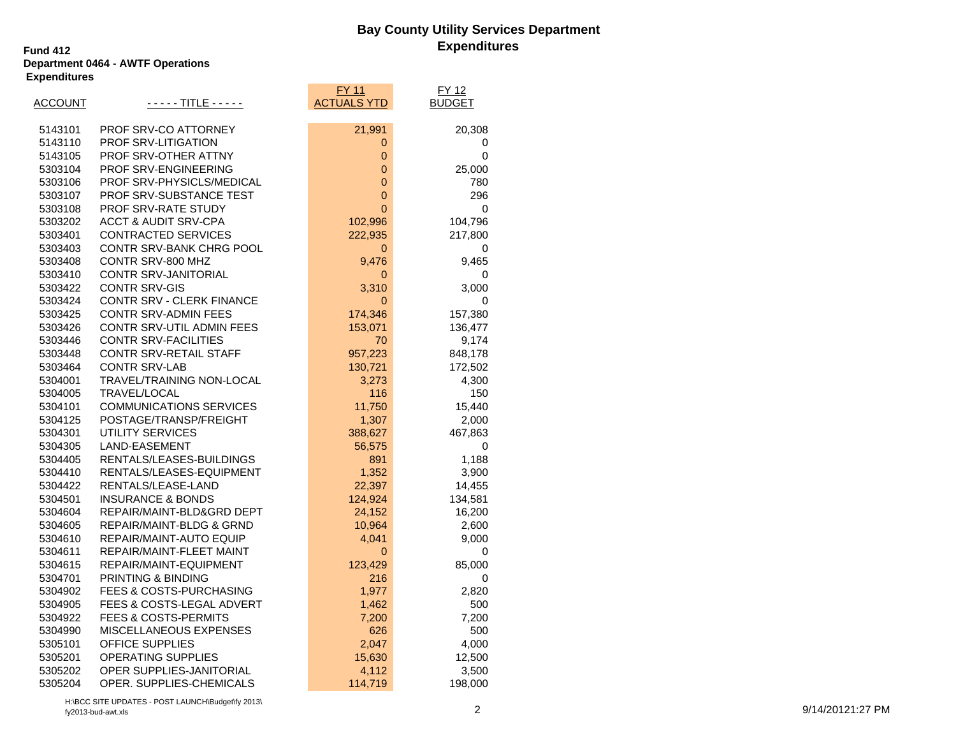### **Bay County Utility Services Department Expenditures Fund 412**

### **Department 0464 - AWTF Operations Expenditures**

|         |                                    | FY 11              | FY 12         |
|---------|------------------------------------|--------------------|---------------|
| ACCOUNT | - - - - - TITLE - - - - -          | <b>ACTUALS YTD</b> | <b>BUDGET</b> |
| 5143101 | PROF SRV-CO ATTORNEY               | 21,991             | 20,308        |
| 5143110 | PROF SRV-LITIGATION                | 0                  | 0             |
| 5143105 | PROF SRV-OTHER ATTNY               | $\mathbf 0$        | $\mathbf 0$   |
| 5303104 | PROF SRV-ENGINEERING               | 0                  | 25,000        |
| 5303106 | PROF SRV-PHYSICLS/MEDICAL          | 0                  | 780           |
| 5303107 | PROF SRV-SUBSTANCE TEST            | 0                  | 296           |
| 5303108 | PROF SRV-RATE STUDY                | 0                  | 0             |
| 5303202 | <b>ACCT &amp; AUDIT SRV-CPA</b>    | 102,996            | 104,796       |
| 5303401 | CONTRACTED SERVICES                | 222,935            | 217,800       |
| 5303403 | CONTR SRV-BANK CHRG POOL           | 0                  | 0             |
| 5303408 | CONTR SRV-800 MHZ                  | 9,476              | 9,465         |
| 5303410 | CONTR SRV-JANITORIAL               | 0                  | 0             |
| 5303422 | <b>CONTR SRV-GIS</b>               | 3,310              | 3,000         |
| 5303424 | CONTR SRV - CLERK FINANCE          | $\mathbf{0}$       | 0             |
| 5303425 | <b>CONTR SRV-ADMIN FEES</b>        | 174,346            | 157,380       |
| 5303426 | CONTR SRV-UTIL ADMIN FEES          | 153,071            | 136,477       |
| 5303446 | <b>CONTR SRV-FACILITIES</b>        | 70                 | 9,174         |
| 5303448 | <b>CONTR SRV-RETAIL STAFF</b>      | 957,223            | 848,178       |
| 5303464 | <b>CONTR SRV-LAB</b>               | 130,721            | 172,502       |
| 5304001 | TRAVEL/TRAINING NON-LOCAL          | 3,273              | 4,300         |
| 5304005 | TRAVEL/LOCAL                       | 116                | 150           |
| 5304101 | <b>COMMUNICATIONS SERVICES</b>     | 11,750             | 15,440        |
| 5304125 | POSTAGE/TRANSP/FREIGHT             | 1,307              | 2,000         |
| 5304301 | UTILITY SERVICES                   | 388,627            | 467,863       |
| 5304305 | LAND-EASEMENT                      | 56,575             | 0             |
| 5304405 | RENTALS/LEASES-BUILDINGS           | 891                | 1,188         |
| 5304410 | RENTALS/LEASES-EQUIPMENT           | 1,352              | 3,900         |
| 5304422 | RENTALS/LEASE-LAND                 | 22,397             | 14,455        |
| 5304501 | <b>INSURANCE &amp; BONDS</b>       | 124,924            | 134,581       |
| 5304604 | REPAIR/MAINT-BLD&GRD DEPT          | 24,152             | 16,200        |
| 5304605 | REPAIR/MAINT-BLDG & GRND           | 10,964             | 2,600         |
| 5304610 | REPAIR/MAINT-AUTO EQUIP            | 4,041              | 9,000         |
| 5304611 | REPAIR/MAINT-FLEET MAINT           | $\mathbf 0$        | 0             |
| 5304615 | REPAIR/MAINT-EQUIPMENT             | 123,429            | 85,000        |
| 5304701 | <b>PRINTING &amp; BINDING</b>      | 216                | 0             |
| 5304902 | <b>FEES &amp; COSTS-PURCHASING</b> | 1,977              | 2,820         |
| 5304905 | FEES & COSTS-LEGAL ADVERT          | 1,462              | 500           |
| 5304922 | <b>FEES &amp; COSTS-PERMITS</b>    | 7,200              | 7,200         |
| 5304990 | <b>MISCELLANEOUS EXPENSES</b>      | 626                | 500           |
| 5305101 | <b>OFFICE SUPPLIES</b>             | 2,047              | 4,000         |
| 5305201 | <b>OPERATING SUPPLIES</b>          | 15,630             | 12,500        |
| 5305202 | OPER SUPPLIES-JANITORIAL           | 4,112              | 3,500         |
| 5305204 | OPER. SUPPLIES-CHEMICALS           | 114,719            | 198,000       |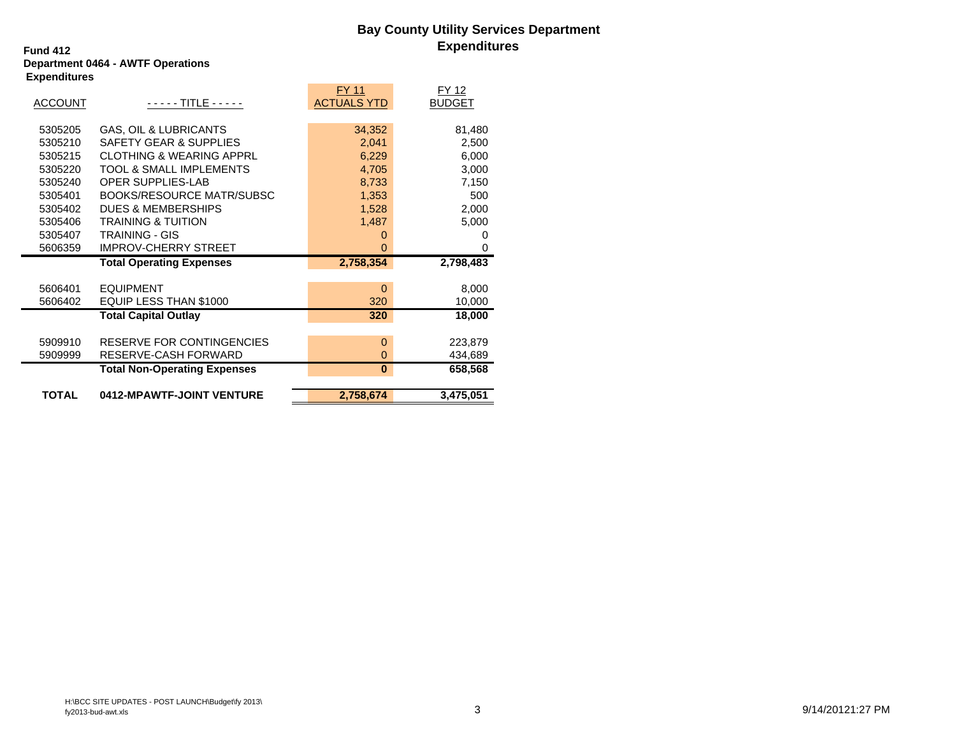### **Bay County Utility Services Department Expenditures Fund 412**

### **Department 0464 - AWTF Operations Expenditures**

|                |                                     | FY 11              | FY 12         |
|----------------|-------------------------------------|--------------------|---------------|
| <b>ACCOUNT</b> | - - - - - TITLE - - - - -           | <b>ACTUALS YTD</b> | <b>BUDGET</b> |
|                |                                     |                    |               |
| 5305205        | <b>GAS, OIL &amp; LUBRICANTS</b>    | 34,352             | 81,480        |
| 5305210        | <b>SAFETY GEAR &amp; SUPPLIES</b>   | 2,041              | 2,500         |
| 5305215        | <b>CLOTHING &amp; WEARING APPRL</b> | 6,229              | 6,000         |
| 5305220        | <b>TOOL &amp; SMALL IMPLEMENTS</b>  | 4,705              | 3,000         |
| 5305240        | <b>OPER SUPPLIES-LAB</b>            | 8,733              | 7,150         |
| 5305401        | <b>BOOKS/RESOURCE MATR/SUBSC</b>    | 1,353              | 500           |
| 5305402        | <b>DUES &amp; MEMBERSHIPS</b>       | 1,528              | 2,000         |
| 5305406        | <b>TRAINING &amp; TUITION</b>       | 1,487              | 5,000         |
| 5305407        | <b>TRAINING - GIS</b>               | 0                  | 0             |
| 5606359        | <b>IMPROV-CHERRY STREET</b>         | $\Omega$           | 0             |
|                | <b>Total Operating Expenses</b>     | 2,758,354          | 2,798,483     |
|                |                                     |                    |               |
| 5606401        | <b>EQUIPMENT</b>                    | $\Omega$           | 8,000         |
| 5606402        | EQUIP LESS THAN \$1000              | 320                | 10,000        |
|                | <b>Total Capital Outlay</b>         | 320                | 18,000        |
|                |                                     |                    |               |
| 5909910        | RESERVE FOR CONTINGENCIES           | $\mathbf 0$        | 223,879       |
| 5909999        | RESERVE-CASH FORWARD                | $\mathbf 0$        | 434,689       |
|                | <b>Total Non-Operating Expenses</b> | $\bf{0}$           | 658,568       |
|                |                                     |                    |               |
| <b>TOTAL</b>   | 0412-MPAWTF-JOINT VENTURE           | 2,758,674          | 3,475,051     |
|                |                                     |                    |               |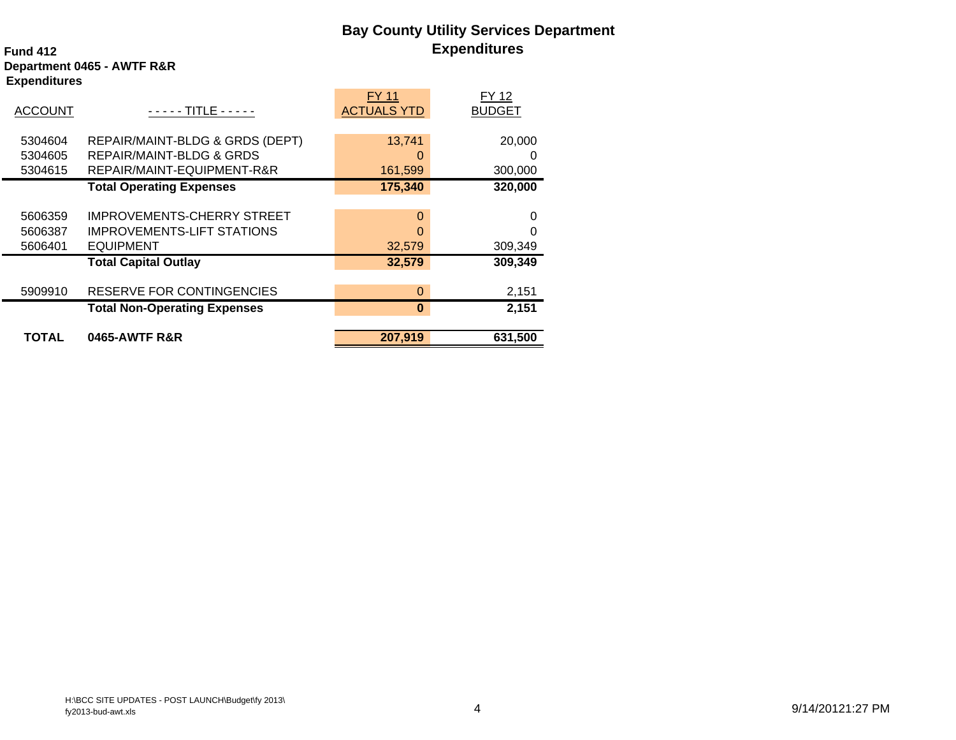# **Bay County Utility Services Department Expenditures**

### **Fund 412Department 0465 - AWTF R&R Expenditures**

|                |                                     | <b>FY 11</b>       | <b>FY 12</b>  |
|----------------|-------------------------------------|--------------------|---------------|
| <b>ACCOUNT</b> | TITLE - - - - -                     | <b>ACTUALS YTD</b> | <b>BUDGET</b> |
|                |                                     |                    |               |
| 5304604        | REPAIR/MAINT-BLDG & GRDS (DEPT)     | 13,741             | 20,000        |
| 5304605        | <b>REPAIR/MAINT-BLDG &amp; GRDS</b> | $\Omega$           |               |
| 5304615        | REPAIR/MAINT-EQUIPMENT-R&R          | 161,599            | 300,000       |
|                | <b>Total Operating Expenses</b>     | 175,340            | 320,000       |
|                |                                     |                    |               |
| 5606359        | <b>IMPROVEMENTS-CHERRY STREET</b>   | $\Omega$           |               |
| 5606387        | <b>IMPROVEMENTS-LIFT STATIONS</b>   | 0                  |               |
| 5606401        | <b>EQUIPMENT</b>                    | 32,579             | 309,349       |
|                | <b>Total Capital Outlay</b>         | 32,579             | 309,349       |
|                |                                     |                    |               |
| 5909910        | RESERVE FOR CONTINGENCIES           | $\Omega$           | 2,151         |
|                | <b>Total Non-Operating Expenses</b> | $\bf{0}$           | 2,151         |
|                |                                     |                    |               |
| TOTAL          | 0465-AWTF R&R                       | 207,919            | 631,500       |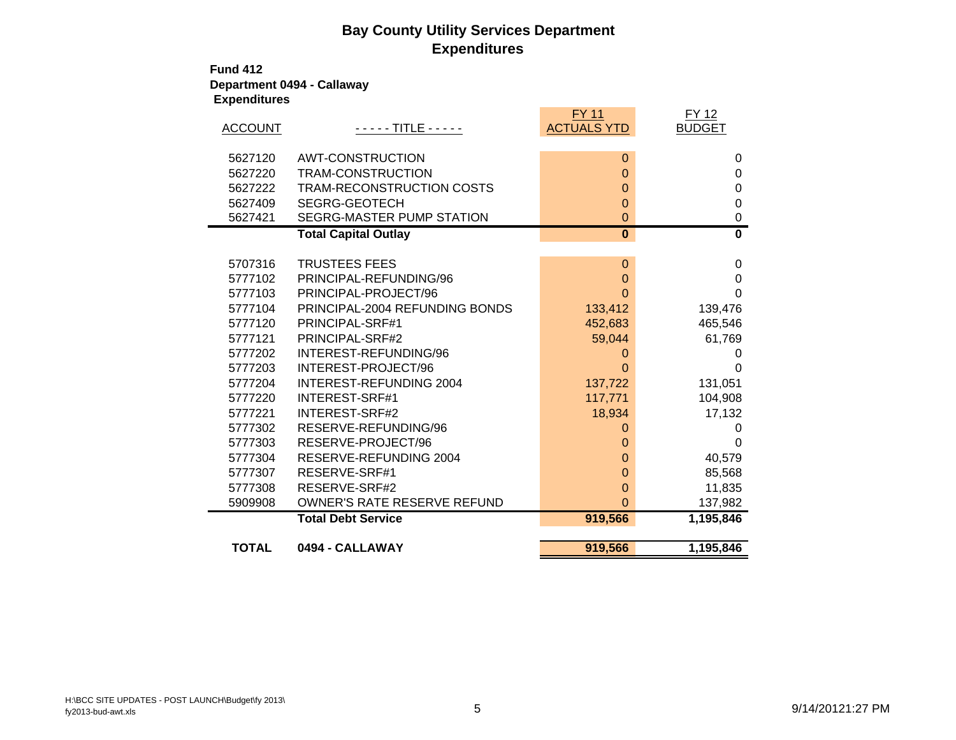## **Bay County Utility Services Department Expenditures**

**Fund 412Department 0494 - Callaway Expenditures**

| <b>ACCOUNT</b> | - - - - - TITLE - - - - -        | <b>FY 11</b><br><b>ACTUALS YTD</b> | <b>FY 12</b><br><b>BUDGET</b> |
|----------------|----------------------------------|------------------------------------|-------------------------------|
| 5627120        | <b>AWT-CONSTRUCTION</b>          | $\mathbf{0}$                       | 0                             |
| 5627220        | TRAM-CONSTRUCTION                | $\mathbf{0}$                       | 0                             |
| 5627222        | TRAM-RECONSTRUCTION COSTS        | $\Omega$                           | 0                             |
| 5627409        | SEGRG-GEOTECH                    | $\overline{0}$                     | $\mathbf 0$                   |
| 5627421        | <b>SEGRG-MASTER PUMP STATION</b> | 0                                  | 0                             |
|                | <b>Total Capital Outlay</b>      | $\overline{\mathbf{0}}$            | $\overline{\mathbf{0}}$       |
|                |                                  |                                    |                               |
| 5707316        | <b>TRUSTEES FEES</b>             | $\mathbf{0}$                       | 0                             |
| 5777102        | PRINCIPAL-REFUNDING/96           | $\Omega$                           | 0                             |
| 5777103        | PRINCIPAL-PROJECT/96             | 0                                  | $\Omega$                      |
| 5777104        | PRINCIPAL-2004 REFUNDING BONDS   | 133,412                            | 139,476                       |
| 5777120        | PRINCIPAL-SRF#1                  | 452,683                            | 465,546                       |
| 5777121        | PRINCIPAL-SRF#2                  | 59,044                             | 61,769                        |
| 5777202        | INTEREST-REFUNDING/96            | 0                                  |                               |
| 5777203        | INTEREST-PROJECT/96              | O                                  | O                             |
| 5777204        | INTEREST-REFUNDING 2004          | 137,722                            | 131,051                       |
| 5777220        | <b>INTEREST-SRF#1</b>            | 117,771                            | 104,908                       |
| 5777221        | <b>INTEREST-SRF#2</b>            | 18,934                             | 17,132                        |
| 5777302        | RESERVE-REFUNDING/96             | 0                                  | 0                             |
| 5777303        | RESERVE-PROJECT/96               | 0                                  | 0                             |
| 5777304        | RESERVE-REFUNDING 2004           | 0                                  | 40,579                        |
| 5777307        | RESERVE-SRF#1                    | 0                                  | 85,568                        |
| 5777308        | RESERVE-SRF#2                    | 0                                  | 11,835                        |
| 5909908        | OWNER'S RATE RESERVE REFUND      | 0                                  | 137,982                       |
|                | <b>Total Debt Service</b>        | 919,566                            | 1,195,846                     |
|                |                                  |                                    |                               |
| <b>TOTAL</b>   | 0494 - CALLAWAY                  | 919,566                            | 1,195,846                     |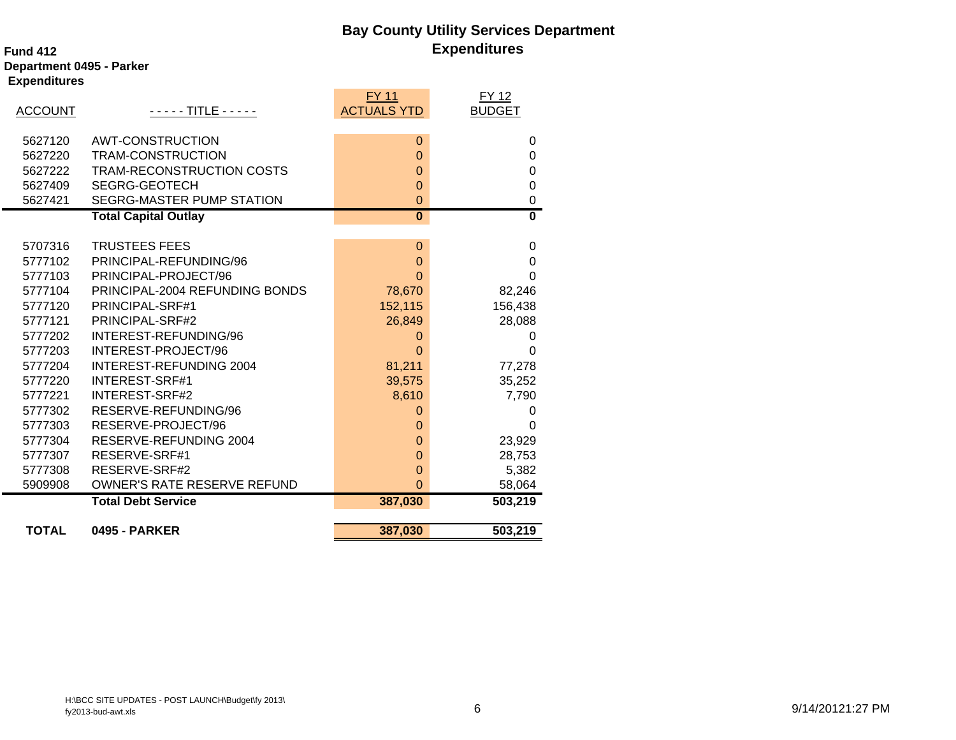## **Bay County Utility Services Department Expenditures**

### **Fund 412**

**Department 0495 - Parker Expenditures**

|                |                                | <b>FY 11</b>            | FY 12         |
|----------------|--------------------------------|-------------------------|---------------|
| <b>ACCOUNT</b> | - - - - - TITLE - - - - -      | <b>ACTUALS YTD</b>      | <b>BUDGET</b> |
|                |                                |                         |               |
| 5627120        | <b>AWT-CONSTRUCTION</b>        | $\mathbf{0}$            | 0             |
| 5627220        | TRAM-CONSTRUCTION              | $\Omega$                | $\Omega$      |
| 5627222        | TRAM-RECONSTRUCTION COSTS      | $\mathbf{0}$            | 0             |
| 5627409        | <b>SEGRG-GEOTECH</b>           | $\Omega$                | $\Omega$      |
| 5627421        | SEGRG-MASTER PUMP STATION      | $\overline{0}$          | $\pmb{0}$     |
|                | <b>Total Capital Outlay</b>    | $\overline{\mathbf{0}}$ | $\mathbf{0}$  |
|                |                                |                         |               |
| 5707316        | <b>TRUSTEES FEES</b>           | $\mathbf 0$             | 0             |
| 5777102        | PRINCIPAL-REFUNDING/96         | $\Omega$                | $\Omega$      |
| 5777103        | PRINCIPAL-PROJECT/96           | $\Omega$                | $\Omega$      |
| 5777104        | PRINCIPAL-2004 REFUNDING BONDS | 78,670                  | 82,246        |
| 5777120        | PRINCIPAL-SRF#1                | 152,115                 | 156,438       |
| 5777121        | PRINCIPAL-SRF#2                | 26,849                  | 28,088        |
| 5777202        | INTEREST-REFUNDING/96          | 0                       | 0             |
| 5777203        | INTEREST-PROJECT/96            | 0                       | $\Omega$      |
| 5777204        | <b>INTEREST-REFUNDING 2004</b> | 81,211                  | 77,278        |
| 5777220        | <b>INTEREST-SRF#1</b>          | 39,575                  | 35,252        |
| 5777221        | INTEREST-SRF#2                 | 8,610                   | 7,790         |
| 5777302        | RESERVE-REFUNDING/96           | 0                       | 0             |
| 5777303        | RESERVE-PROJECT/96             | 0                       | $\Omega$      |
| 5777304        | RESERVE-REFUNDING 2004         | $\mathbf 0$             | 23,929        |
| 5777307        | RESERVE-SRF#1                  | $\Omega$                | 28,753        |
| 5777308        | RESERVE-SRF#2                  | $\overline{0}$          | 5,382         |
| 5909908        | OWNER'S RATE RESERVE REFUND    | $\overline{0}$          | 58,064        |
|                | <b>Total Debt Service</b>      | 387,030                 | 503,219       |
|                |                                |                         |               |
| <b>TOTAL</b>   | <b>0495 - PARKER</b>           | 387,030                 | 503,219       |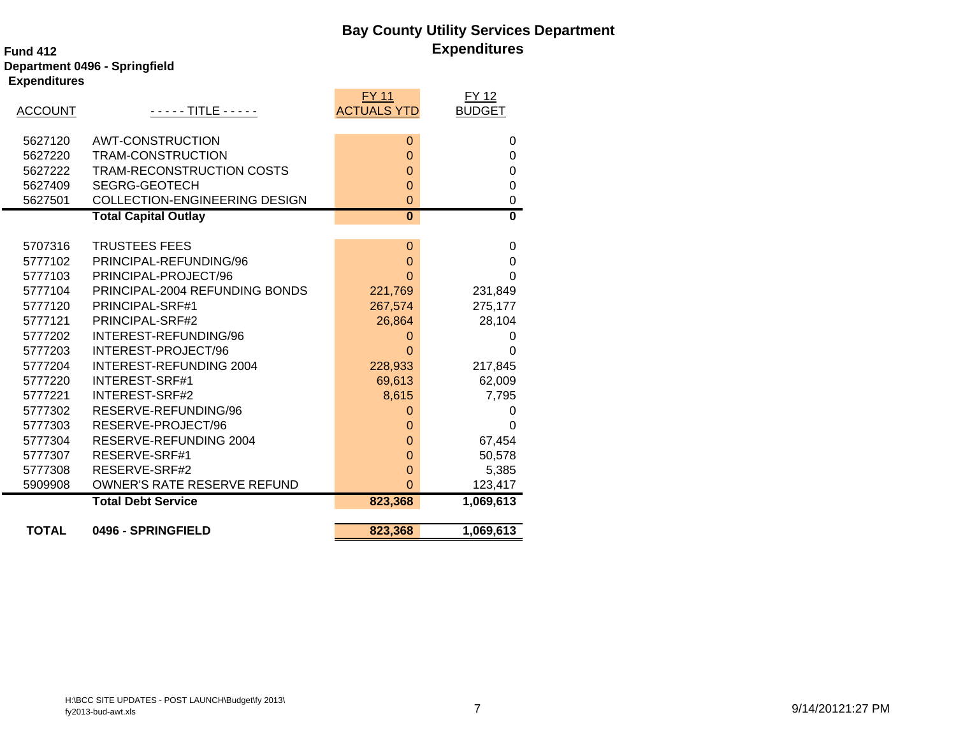## **Bay County Utility Services Department Expenditures**

### **Fund 412Department 0496 - Springfield Expenditures**

|                |                                      | <b>FY 11</b>            | <b>FY 12</b>  |
|----------------|--------------------------------------|-------------------------|---------------|
| <b>ACCOUNT</b> | $- - - -$ TITLE - - - - -            | <b>ACTUALS YTD</b>      | <b>BUDGET</b> |
| 5627120        | <b>AWT-CONSTRUCTION</b>              | $\mathbf{0}$            | 0             |
| 5627220        | TRAM-CONSTRUCTION                    | $\overline{0}$          | $\Omega$      |
| 5627222        | TRAM-RECONSTRUCTION COSTS            | $\mathbf 0$             | 0             |
| 5627409        | <b>SEGRG-GEOTECH</b>                 | $\mathbf 0$             | $\Omega$      |
| 5627501        | <b>COLLECTION-ENGINEERING DESIGN</b> | $\overline{0}$          | $\mathbf 0$   |
|                | <b>Total Capital Outlay</b>          | $\overline{\mathbf{0}}$ | 0             |
|                |                                      |                         |               |
| 5707316        | <b>TRUSTEES FEES</b>                 | 0                       | 0             |
| 5777102        | PRINCIPAL-REFUNDING/96               | $\overline{0}$          | 0             |
| 5777103        | PRINCIPAL-PROJECT/96                 | $\Omega$                | $\Omega$      |
| 5777104        | PRINCIPAL-2004 REFUNDING BONDS       | 221,769                 | 231,849       |
| 5777120        | PRINCIPAL-SRF#1                      | 267,574                 | 275,177       |
| 5777121        | PRINCIPAL-SRF#2                      | 26,864                  | 28,104        |
| 5777202        | INTEREST-REFUNDING/96                | 0                       | 0             |
| 5777203        | INTEREST-PROJECT/96                  | $\Omega$                | 0             |
| 5777204        | <b>INTEREST-REFUNDING 2004</b>       | 228,933                 | 217,845       |
| 5777220        | <b>INTEREST-SRF#1</b>                | 69,613                  | 62,009        |
| 5777221        | <b>INTEREST-SRF#2</b>                | 8,615                   | 7,795         |
| 5777302        | RESERVE-REFUNDING/96                 | $\Omega$                | 0             |
| 5777303        | RESERVE-PROJECT/96                   | $\Omega$                | $\Omega$      |
| 5777304        | RESERVE-REFUNDING 2004               | $\overline{0}$          | 67,454        |
| 5777307        | RESERVE-SRF#1                        | $\overline{0}$          | 50,578        |
| 5777308        | RESERVE-SRF#2                        | $\overline{0}$          | 5,385         |
| 5909908        | OWNER'S RATE RESERVE REFUND          | $\Omega$                | 123,417       |
|                | <b>Total Debt Service</b>            | 823,368                 | 1,069,613     |
| <b>TOTAL</b>   | 0496 - SPRINGFIELD                   | 823,368                 | 1,069,613     |
|                |                                      |                         |               |